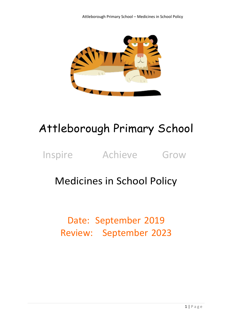

# Attleborough Primary School

### Inspire Achieve Grow

### Medicines in School Policy

## Date: September 2019 Review: September 2023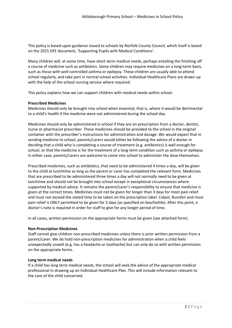This policy is based upon guidance issued to schools by Norfolk County Council, which itself is based on the 2015 DFE document, 'Supporting Pupils with Medical Conditions'.

Many children will, at some time, have short-term medical needs, perhaps entailing the finishing off a course of medicine such as antibiotics. Some children may require medicines on a long-term basis, such as those with well-controlled asthma or epilepsy. These children are usually able to attend school regularly, and take part in normal school activities. Individual Healthcare Plans are drawn up with the help of the school nursing service where required.

This policy explains how we can support children with medical needs within school.

#### **Prescribed Medicines**

Medicines should only be brought into school when essential; that is, where it would be detrimental to a child's health if the medicine were not administered during the school day.

Medicines should only be administered in school if they are on prescription from a doctor, dentist, nurse or pharmacist prescriber. These medicines should be provided to the school in the original container with the prescriber's instructions for administration and dosage. We would expect that in sending medicine to school, parents/carers would either be following the advice of a doctor in deciding that a child who is completing a course of treatment (e.g. antibiotics) is well enough for school, or that the medicine is for the treatment of a long term condition such as asthma or epilepsy. In either case, parents/carers are welcome to come into school to administer the dose themselves.

Prescribed medicines, such as antibiotics, that need to be administered 4 times a day, will be given to the child at lunchtime as long as the parent or carer has completed the relevant form. Medicines that are prescribed to be administered three times a day will not normally need to be given at lunchtime and should not be brought into school except in exceptional circumstances where supported by medical advice. It remains the parent/carer's responsibility to ensure that medicine is given at the correct times. Medicines must not be given for longer than 3 days for most pain relief and must not exceed the stated time to be taken on the prescription label. Calpol, Nurofen and most pain relief is ONLY permitted to be given for 3 days (as specified on box/bottle). After this point, a doctor's note is required in order for staff to give for any longer period of time.

In all cases, written permission on the appropriate forms must be given (see attached form).

#### **Non-Prescription Medicines**

Staff cannot give children non-prescribed medicines unless there is prior written permission from a parent/carer. We do hold non-prescription medicines for administration when a child feels unexpectedly unwell (e.g. has a headache or toothache) but can only do so with written permission on the appropriate forms.

#### **Long term medical needs**

If a child has long term medical needs, the school will seek the advice of the appropriate medical professional in drawing up an Individual Healthcare Plan. This will include information relevant to the care of the child concerned.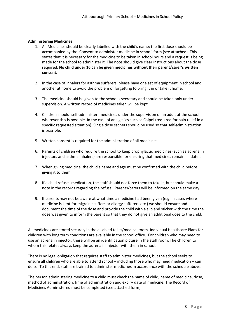#### **Administering Medicines**

- 1. All Medicines should be clearly labelled with the child's name; the first dose should be accompanied by the 'Consent to administer medicine in school' form (see attached). This states that it is necessary for the medicine to be taken in school hours and a request is being made for the school to administer it. The note should give clear instructions about the dose required. **No child under 16 can be given medicines without their parent/carer's written consent.**
- 2. In the case of inhalers for asthma sufferers, please have one set of equipment in school and another at home to avoid the problem of forgetting to bring it in or take it home.
- 3. The medicine should be given to the school's secretary and should be taken only under supervision. A written record of medicines taken will be kept.
- 4. Children should 'self-administer' medicines under the supervision of an adult at the school wherever this is possible. In the case of analgesics such as Calpol (required for pain relief in a specific requested situation). Single dose sachets should be used so that self-administration is possible.
- 5. Written consent is required for the administration of all medicines.
- 6. Parents of children who require the school to keep prophylactic medicines (such as adrenalin injectors and asthma inhalers) are responsible for ensuring that medicines remain 'in date'.
- 7. When giving medicine, the child's name and age must be confirmed with the child before giving it to them.
- 8. If a child refuses medication, the staff should not force them to take it, but should make a note in the records regarding the refusal. Parents/carers will be informed on the same day.
- 9. If parents may not be aware at what time a medicine had been given (e.g. in cases where medicine is kept for migraine suffers or allergy sufferers etc.) we should ensure and document the time of the dose and provide the child with a slip and sticker with the time the dose was given to inform the parent so that they do not give an additional dose to the child.

All medicines are stored securely in the disabled toilet/medical room. Individual Healthcare Plans for children with long term conditions are available in the school office. For children who may need to use an adrenalin injector, there will be an identification picture in the staff room. The children to whom this relates always keep the adrenalin injector with them in school.

There is no legal obligation that requires staff to administer medicines, but the school seeks to ensure all children who are able to attend school – including those who may need medication – can do so. To this end, staff are trained to administer medicines in accordance with the schedule above.

The person administering medicine to a child must check the name of child, name of medicine, dose, method of administration, time of administration and expiry date of medicine. The Record of Medicines Administered must be completed (see attached form)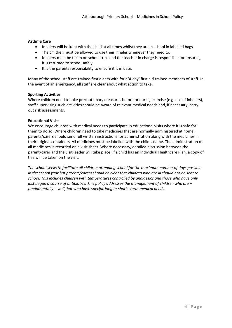#### **Asthma Care**

- Inhalers will be kept with the child at all times whilst they are in school in labelled bags.
- The children must be allowed to use their inhaler whenever they need to.
- Inhalers must be taken on school trips and the teacher in charge is responsible for ensuring it is returned to school safely.
- It is the parents responsibility to ensure it is in date.

Many of the school staff are trained first aiders with four '4-day' first aid trained members of staff. In the event of an emergency, all staff are clear about what action to take.

#### **Sporting Activities**

Where children need to take precautionary measures before or during exercise (e.g. use of inhalers), staff supervising such activities should be aware of relevant medical needs and, if necessary, carry out risk assessments.

#### **Educational Visits**

We encourage children with medical needs to participate in educational visits where it is safe for them to do so. Where children need to take medicines that are normally administered at home, parents/carers should send full written instructions for administration along with the medicines in their original containers. All medicines must be labelled with the child's name. The administration of all medicines is recorded on a visit sheet. Where necessary, detailed discussion between the parent/carer and the visit leader will take place; if a child has an Individual Healthcare Plan, a copy of this will be taken on the visit.

*The school seeks to facilitate all children attending school for the maximum number of days possible in the school year but parents/carers should be clear that children who are ill should not be sent to school. This includes children with temperatures controlled by analgesics and those who have only just begun a course of antibiotics. This policy addresses the management of children who are – fundamentally – well, but who have specific long or short –term medical needs.*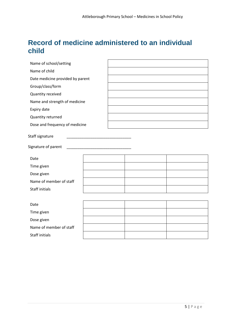### **Record of medicine administered to an individual child**

| Name of school/setting                 |  |  |  |  |  |
|----------------------------------------|--|--|--|--|--|
| Name of child                          |  |  |  |  |  |
| Date medicine provided by parent       |  |  |  |  |  |
| Group/class/form                       |  |  |  |  |  |
| Quantity received                      |  |  |  |  |  |
| Name and strength of medicine          |  |  |  |  |  |
| Expiry date                            |  |  |  |  |  |
| Quantity returned                      |  |  |  |  |  |
| Dose and frequency of medicine         |  |  |  |  |  |
| Staff signature<br>Signature of parent |  |  |  |  |  |
|                                        |  |  |  |  |  |
| Date                                   |  |  |  |  |  |
| Time given                             |  |  |  |  |  |
| Dose given                             |  |  |  |  |  |
| Name of member of staff                |  |  |  |  |  |
| <b>Staff initials</b>                  |  |  |  |  |  |
|                                        |  |  |  |  |  |
| Date                                   |  |  |  |  |  |
| Time given                             |  |  |  |  |  |
| Dose given                             |  |  |  |  |  |
| Name of member of staff                |  |  |  |  |  |
| <b>Staff initials</b>                  |  |  |  |  |  |